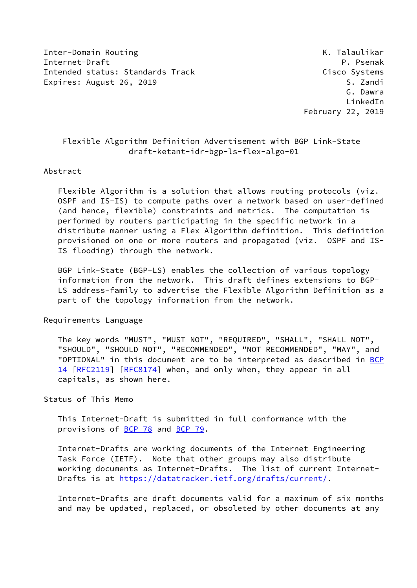Inter-Domain Routing The Communication of the Communication of the Communication of the Communication of the Co Internet-Draft Property Research P. Psenak Intended status: Standards Track Cisco Systems Expires: August 26, 2019 S. Zandi

# Flexible Algorithm Definition Advertisement with BGP Link-State draft-ketant-idr-bgp-ls-flex-algo-01

#### Abstract

 Flexible Algorithm is a solution that allows routing protocols (viz. OSPF and IS-IS) to compute paths over a network based on user-defined (and hence, flexible) constraints and metrics. The computation is performed by routers participating in the specific network in a distribute manner using a Flex Algorithm definition. This definition provisioned on one or more routers and propagated (viz. OSPF and IS- IS flooding) through the network.

 BGP Link-State (BGP-LS) enables the collection of various topology information from the network. This draft defines extensions to BGP- LS address-family to advertise the Flexible Algorithm Definition as a part of the topology information from the network.

Requirements Language

 The key words "MUST", "MUST NOT", "REQUIRED", "SHALL", "SHALL NOT", "SHOULD", "SHOULD NOT", "RECOMMENDED", "NOT RECOMMENDED", "MAY", and "OPTIONAL" in this document are to be interpreted as described in [BCP](https://datatracker.ietf.org/doc/pdf/bcp14) [14](https://datatracker.ietf.org/doc/pdf/bcp14) [[RFC2119\]](https://datatracker.ietf.org/doc/pdf/rfc2119) [\[RFC8174](https://datatracker.ietf.org/doc/pdf/rfc8174)] when, and only when, they appear in all capitals, as shown here.

Status of This Memo

 This Internet-Draft is submitted in full conformance with the provisions of [BCP 78](https://datatracker.ietf.org/doc/pdf/bcp78) and [BCP 79](https://datatracker.ietf.org/doc/pdf/bcp79).

 Internet-Drafts are working documents of the Internet Engineering Task Force (IETF). Note that other groups may also distribute working documents as Internet-Drafts. The list of current Internet Drafts is at<https://datatracker.ietf.org/drafts/current/>.

 Internet-Drafts are draft documents valid for a maximum of six months and may be updated, replaced, or obsoleted by other documents at any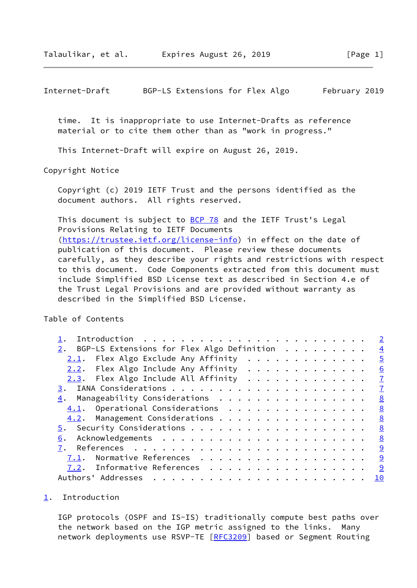<span id="page-1-1"></span>Internet-Draft BGP-LS Extensions for Flex Algo February 2019

 time. It is inappropriate to use Internet-Drafts as reference material or to cite them other than as "work in progress."

This Internet-Draft will expire on August 26, 2019.

Copyright Notice

 Copyright (c) 2019 IETF Trust and the persons identified as the document authors. All rights reserved.

This document is subject to **[BCP 78](https://datatracker.ietf.org/doc/pdf/bcp78)** and the IETF Trust's Legal Provisions Relating to IETF Documents [\(https://trustee.ietf.org/license-info](https://trustee.ietf.org/license-info)) in effect on the date of publication of this document. Please review these documents carefully, as they describe your rights and restrictions with respect to this document. Code Components extracted from this document must include Simplified BSD License text as described in Section 4.e of the Trust Legal Provisions and are provided without warranty as described in the Simplified BSD License.

Table of Contents

|                                                                                                                                                                                                                                                                                                                                                                                                                                                                                                               | $\overline{2}$ |  |
|---------------------------------------------------------------------------------------------------------------------------------------------------------------------------------------------------------------------------------------------------------------------------------------------------------------------------------------------------------------------------------------------------------------------------------------------------------------------------------------------------------------|----------------|--|
| 2. BGP-LS Extensions for Flex Algo Definition                                                                                                                                                                                                                                                                                                                                                                                                                                                                 | $\overline{4}$ |  |
| $2.1$ . Flex Algo Exclude Any Affinity                                                                                                                                                                                                                                                                                                                                                                                                                                                                        | $\overline{5}$ |  |
| 2.2. Flex Algo Include Any Affinity                                                                                                                                                                                                                                                                                                                                                                                                                                                                           | 6              |  |
| 2.3. Flex Algo Include All Affinity $\cdots$                                                                                                                                                                                                                                                                                                                                                                                                                                                                  | $\mathbb{Z}$   |  |
|                                                                                                                                                                                                                                                                                                                                                                                                                                                                                                               | $\mathbf{Z}$   |  |
| $\underline{4}$ . Manageability Considerations                                                                                                                                                                                                                                                                                                                                                                                                                                                                | 8              |  |
| 4.1. Operational Considerations                                                                                                                                                                                                                                                                                                                                                                                                                                                                               | 8              |  |
| 4.2. Management Considerations                                                                                                                                                                                                                                                                                                                                                                                                                                                                                | 8              |  |
|                                                                                                                                                                                                                                                                                                                                                                                                                                                                                                               | 8              |  |
| 6.                                                                                                                                                                                                                                                                                                                                                                                                                                                                                                            | <u>8</u>       |  |
| 7.                                                                                                                                                                                                                                                                                                                                                                                                                                                                                                            | 9              |  |
| Normative References<br>7.1.                                                                                                                                                                                                                                                                                                                                                                                                                                                                                  | 9              |  |
| 7.2. Informative References                                                                                                                                                                                                                                                                                                                                                                                                                                                                                   | 9              |  |
| Authors' Addresses<br>$\mathbf{r}^{\mathsf{T}} \cdot \mathbf{r}^{\mathsf{T}} \cdot \mathbf{r}^{\mathsf{T}} \cdot \mathbf{r}^{\mathsf{T}} \cdot \mathbf{r}^{\mathsf{T}} \cdot \mathbf{r}^{\mathsf{T}} \cdot \mathbf{r}^{\mathsf{T}} \cdot \mathbf{r}^{\mathsf{T}} \cdot \mathbf{r}^{\mathsf{T}} \cdot \mathbf{r}^{\mathsf{T}} \cdot \mathbf{r}^{\mathsf{T}} \cdot \mathbf{r}^{\mathsf{T}} \cdot \mathbf{r}^{\mathsf{T}} \cdot \mathbf{r}^{\mathsf{T}} \cdot \mathbf{r}^{\mathsf{T}} \cdot \mathbf{r}^{\mathsf$ | 10             |  |

#### <span id="page-1-0"></span>[1](#page-1-0). Introduction

 IGP protocols (OSPF and IS-IS) traditionally compute best paths over the network based on the IGP metric assigned to the links. Many network deployments use RSVP-TE [\[RFC3209](https://datatracker.ietf.org/doc/pdf/rfc3209)] based or Segment Routing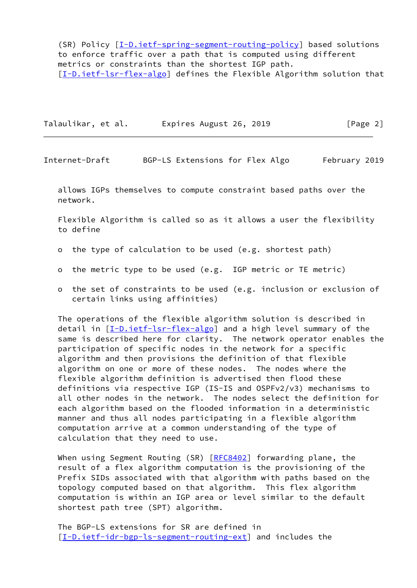(SR) Policy [\[I-D.ietf-spring-segment-routing-policy](#page-9-4)] based solutions to enforce traffic over a path that is computed using different metrics or constraints than the shortest IGP path. [\[I-D.ietf-lsr-flex-algo](#page-9-5)] defines the Flexible Algorithm solution that

Talaulikar, et al. Expires August 26, 2019 [Page 2]

Internet-Draft BGP-LS Extensions for Flex Algo February 2019

 allows IGPs themselves to compute constraint based paths over the network.

 Flexible Algorithm is called so as it allows a user the flexibility to define

- o the type of calculation to be used (e.g. shortest path)
- o the metric type to be used (e.g. IGP metric or TE metric)
- o the set of constraints to be used (e.g. inclusion or exclusion of certain links using affinities)

 The operations of the flexible algorithm solution is described in detail in [[I-D.ietf-lsr-flex-algo](#page-9-5)] and a high level summary of the same is described here for clarity. The network operator enables the participation of specific nodes in the network for a specific algorithm and then provisions the definition of that flexible algorithm on one or more of these nodes. The nodes where the flexible algorithm definition is advertised then flood these definitions via respective IGP (IS-IS and OSPFv2/v3) mechanisms to all other nodes in the network. The nodes select the definition for each algorithm based on the flooded information in a deterministic manner and thus all nodes participating in a flexible algorithm computation arrive at a common understanding of the type of calculation that they need to use.

When using Segment Routing (SR) [\[RFC8402](https://datatracker.ietf.org/doc/pdf/rfc8402)] forwarding plane, the result of a flex algorithm computation is the provisioning of the Prefix SIDs associated with that algorithm with paths based on the topology computed based on that algorithm. This flex algorithm computation is within an IGP area or level similar to the default shortest path tree (SPT) algorithm.

 The BGP-LS extensions for SR are defined in [\[I-D.ietf-idr-bgp-ls-segment-routing-ext](#page-9-6)] and includes the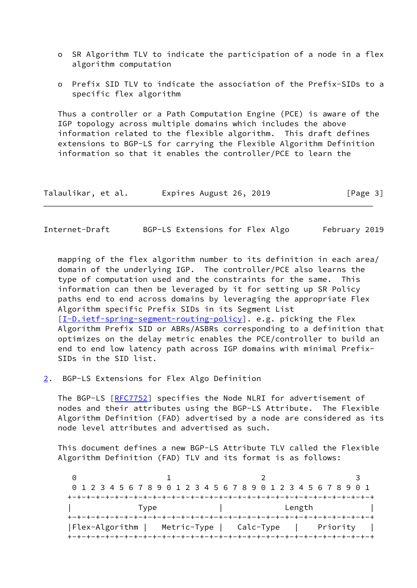- o SR Algorithm TLV to indicate the participation of a node in a flex algorithm computation
- o Prefix SID TLV to indicate the association of the Prefix-SIDs to a specific flex algorithm

 Thus a controller or a Path Computation Engine (PCE) is aware of the IGP topology across multiple domains which includes the above information related to the flexible algorithm. This draft defines extensions to BGP-LS for carrying the Flexible Algorithm Definition information so that it enables the controller/PCE to learn the

| Talaulikar, et al. | Expires August 26, 2019 | [Page 3] |
|--------------------|-------------------------|----------|
|--------------------|-------------------------|----------|

<span id="page-3-1"></span>Internet-Draft BGP-LS Extensions for Flex Algo February 2019

 mapping of the flex algorithm number to its definition in each area/ domain of the underlying IGP. The controller/PCE also learns the type of computation used and the constraints for the same. This information can then be leveraged by it for setting up SR Policy paths end to end across domains by leveraging the appropriate Flex Algorithm specific Prefix SIDs in its Segment List [\[I-D.ietf-spring-segment-routing-policy](#page-9-4)]. e.g. picking the Flex Algorithm Prefix SID or ABRs/ASBRs corresponding to a definition that optimizes on the delay metric enables the PCE/controller to build an end to end low latency path across IGP domains with minimal Prefix- SIDs in the SID list.

<span id="page-3-0"></span>[2](#page-3-0). BGP-LS Extensions for Flex Algo Definition

The BGP-LS [[RFC7752\]](https://datatracker.ietf.org/doc/pdf/rfc7752) specifies the Node NLRI for advertisement of nodes and their attributes using the BGP-LS Attribute. The Flexible Algorithm Definition (FAD) advertised by a node are considered as its node level attributes and advertised as such.

 This document defines a new BGP-LS Attribute TLV called the Flexible Algorithm Definition (FAD) TLV and its format is as follows:

0 1 2 3 0 1 2 3 4 5 6 7 8 9 0 1 2 3 4 5 6 7 8 9 0 1 2 3 4 5 6 7 8 9 0 1 +-+-+-+-+-+-+-+-+-+-+-+-+-+-+-+-+-+-+-+-+-+-+-+-+-+-+-+-+-+-+-+-+ | Type | Length | +-+-+-+-+-+-+-+-+-+-+-+-+-+-+-+-+-+-+-+-+-+-+-+-+-+-+-+-+-+-+-+-+ |Flex-Algorithm | Metric-Type | Calc-Type | Priority | +-+-+-+-+-+-+-+-+-+-+-+-+-+-+-+-+-+-+-+-+-+-+-+-+-+-+-+-+-+-+-+-+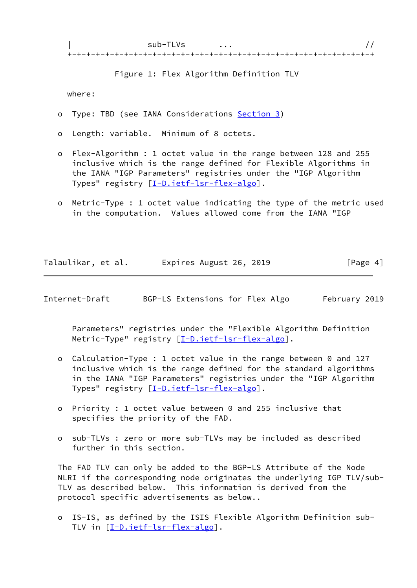Figure 1: Flex Algorithm Definition TLV

where:

- o Type: TBD (see IANA Considerations [Section 3\)](#page-7-0)
- o Length: variable. Minimum of 8 octets.
- o Flex-Algorithm : 1 octet value in the range between 128 and 255 inclusive which is the range defined for Flexible Algorithms in the IANA "IGP Parameters" registries under the "IGP Algorithm Types" registry [[I-D.ietf-lsr-flex-algo](#page-9-5)].
- o Metric-Type : 1 octet value indicating the type of the metric used in the computation. Values allowed come from the IANA "IGP

| Talaulikar, et al. | Expires August 26, 2019 | [Page 4] |
|--------------------|-------------------------|----------|
|                    |                         |          |

<span id="page-4-0"></span>Internet-Draft BGP-LS Extensions for Flex Algo February 2019

 Parameters" registries under the "Flexible Algorithm Definition Metric-Type" registry [\[I-D.ietf-lsr-flex-algo](#page-9-5)].

- o Calculation-Type : 1 octet value in the range between 0 and 127 inclusive which is the range defined for the standard algorithms in the IANA "IGP Parameters" registries under the "IGP Algorithm Types" registry [[I-D.ietf-lsr-flex-algo](#page-9-5)].
- o Priority : 1 octet value between 0 and 255 inclusive that specifies the priority of the FAD.
- o sub-TLVs : zero or more sub-TLVs may be included as described further in this section.

 The FAD TLV can only be added to the BGP-LS Attribute of the Node NLRI if the corresponding node originates the underlying IGP TLV/sub- TLV as described below. This information is derived from the protocol specific advertisements as below..

 o IS-IS, as defined by the ISIS Flexible Algorithm Definition sub- TLV in [[I-D.ietf-lsr-flex-algo](#page-9-5)].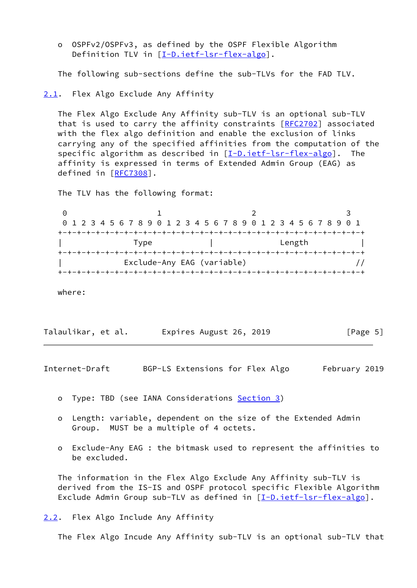o OSPFv2/OSPFv3, as defined by the OSPF Flexible Algorithm Definition TLV in [\[I-D.ietf-lsr-flex-algo](#page-9-5)].

The following sub-sections define the sub-TLVs for the FAD TLV.

<span id="page-5-0"></span>[2.1](#page-5-0). Flex Algo Exclude Any Affinity

 The Flex Algo Exclude Any Affinity sub-TLV is an optional sub-TLV that is used to carry the affinity constraints  $[REC2702]$  associated with the flex algo definition and enable the exclusion of links carrying any of the specified affinities from the computation of the specific algorithm as described in  $[I-D.iett-lsr-flex-algo]$ . The affinity is expressed in terms of Extended Admin Group (EAG) as defined in [[RFC7308\]](https://datatracker.ietf.org/doc/pdf/rfc7308).

The TLV has the following format:

| 0 1 2 3 4 5 6 7 8 9 0 1 2 3 4 5 6 7 8 9 0 1 2 3 4 5 6 7 8 9 0 1 |                            |                                      |        |  |
|-----------------------------------------------------------------|----------------------------|--------------------------------------|--------|--|
|                                                                 |                            |                                      |        |  |
| Type                                                            |                            |                                      | Length |  |
|                                                                 |                            | .-+-+-+-+-+-+-+-+-+-+-+-+-+-+-+-+-+- |        |  |
|                                                                 | Exclude-Any EAG (variable) |                                      |        |  |
|                                                                 |                            |                                      |        |  |

where:

| Talaulikar, et al. | Expires August 26, 2019 | [Page 5] |
|--------------------|-------------------------|----------|
|--------------------|-------------------------|----------|

<span id="page-5-2"></span>Internet-Draft BGP-LS Extensions for Flex Algo February 2019

- o Type: TBD (see IANA Considerations [Section 3\)](#page-7-0)
- o Length: variable, dependent on the size of the Extended Admin Group. MUST be a multiple of 4 octets.
- o Exclude-Any EAG : the bitmask used to represent the affinities to be excluded.

 The information in the Flex Algo Exclude Any Affinity sub-TLV is derived from the IS-IS and OSPF protocol specific Flexible Algorithm Exclude Admin Group sub-TLV as defined in  $[I-D.iett-lsr-flex-algo]$ .

<span id="page-5-1"></span>[2.2](#page-5-1). Flex Algo Include Any Affinity

The Flex Algo Incude Any Affinity sub-TLV is an optional sub-TLV that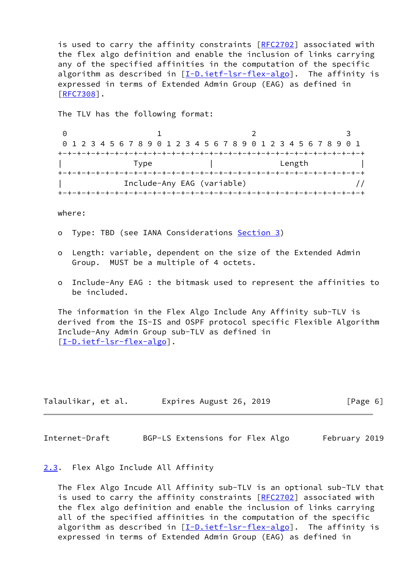is used to carry the affinity constraints [[RFC2702](https://datatracker.ietf.org/doc/pdf/rfc2702)] associated with the flex algo definition and enable the inclusion of links carrying any of the specified affinities in the computation of the specific algorithm as described in  $[I-D.iett-lsr-flex-algo]$ . The affinity is expressed in terms of Extended Admin Group (EAG) as defined in [\[RFC7308](https://datatracker.ietf.org/doc/pdf/rfc7308)].

The TLV has the following format:

|  |      |                            |        | 0 1 2 3 4 5 6 7 8 9 0 1 2 3 4 5 6 7 8 9 0 1 2 3 4 5 6 7 8 9 0 1 |
|--|------|----------------------------|--------|-----------------------------------------------------------------|
|  |      |                            |        |                                                                 |
|  | Type |                            | Length |                                                                 |
|  |      |                            |        |                                                                 |
|  |      | Include-Any EAG (variable) |        |                                                                 |
|  |      |                            |        |                                                                 |

where:

- o Type: TBD (see IANA Considerations [Section 3\)](#page-7-0)
- o Length: variable, dependent on the size of the Extended Admin Group. MUST be a multiple of 4 octets.
- o Include-Any EAG : the bitmask used to represent the affinities to be included.

 The information in the Flex Algo Include Any Affinity sub-TLV is derived from the IS-IS and OSPF protocol specific Flexible Algorithm Include-Any Admin Group sub-TLV as defined in [\[I-D.ietf-lsr-flex-algo](#page-9-5)].

| Talaulikar, et al. | Expires August 26, 2019 | [Page 6] |
|--------------------|-------------------------|----------|
|--------------------|-------------------------|----------|

<span id="page-6-1"></span>Internet-Draft BGP-LS Extensions for Flex Algo February 2019

## <span id="page-6-0"></span>[2.3](#page-6-0). Flex Algo Include All Affinity

 The Flex Algo Incude All Affinity sub-TLV is an optional sub-TLV that is used to carry the affinity constraints [[RFC2702](https://datatracker.ietf.org/doc/pdf/rfc2702)] associated with the flex algo definition and enable the inclusion of links carrying all of the specified affinities in the computation of the specific algorithm as described in [[I-D.ietf-lsr-flex-algo](#page-9-5)]. The affinity is expressed in terms of Extended Admin Group (EAG) as defined in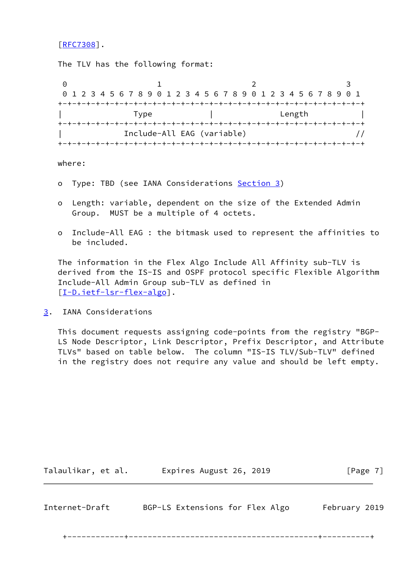[\[RFC7308](https://datatracker.ietf.org/doc/pdf/rfc7308)].

The TLV has the following format:

0 1 2 3 0 1 2 3 4 5 6 7 8 9 0 1 2 3 4 5 6 7 8 9 0 1 2 3 4 5 6 7 8 9 0 1 +-+-+-+-+-+-+-+-+-+-+-+-+-+-+-+-+-+-+-+-+-+-+-+-+-+-+-+-+-+-+-+-+ | Type | Length | +-+-+-+-+-+-+-+-+-+-+-+-+-+-+-+-+-+-+-+-+-+-+-+-+-+-+-+-+-+-+-+-+ | Include-All EAG (variable) // +-+-+-+-+-+-+-+-+-+-+-+-+-+-+-+-+-+-+-+-+-+-+-+-+-+-+-+-+-+-+-+-+

where:

- o Type: TBD (see IANA Considerations [Section 3\)](#page-7-0)
- o Length: variable, dependent on the size of the Extended Admin Group. MUST be a multiple of 4 octets.
- o Include-All EAG : the bitmask used to represent the affinities to be included.

 The information in the Flex Algo Include All Affinity sub-TLV is derived from the IS-IS and OSPF protocol specific Flexible Algorithm Include-All Admin Group sub-TLV as defined in [\[I-D.ietf-lsr-flex-algo](#page-9-5)].

<span id="page-7-0"></span>[3](#page-7-0). IANA Considerations

 This document requests assigning code-points from the registry "BGP- LS Node Descriptor, Link Descriptor, Prefix Descriptor, and Attribute TLVs" based on table below. The column "IS-IS TLV/Sub-TLV" defined in the registry does not require any value and should be left empty.

<span id="page-7-1"></span>Internet-Draft BGP-LS Extensions for Flex Algo February 2019

Talaulikar, et al. Expires August 26, 2019 [Page 7]

+------------+----------------------------------------+----------+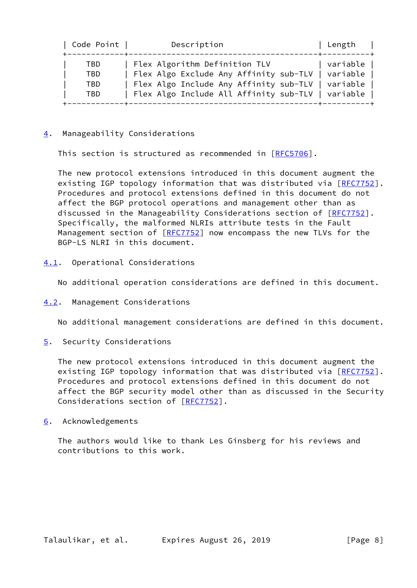| Code Point               | Description                                                                                                                                                                                  | Length   |
|--------------------------|----------------------------------------------------------------------------------------------------------------------------------------------------------------------------------------------|----------|
| TBD<br>TBD<br>TBD<br>TBD | Flex Algorithm Definition TLV<br>Flex Algo Exclude Any Affinity sub-TLV   variable<br>Flex Algo Include Any Affinity sub-TLV   variable<br>Flex Algo Include All Affinity sub-TLV   variable | variable |

### <span id="page-8-0"></span>[4](#page-8-0). Manageability Considerations

This section is structured as recommended in [\[RFC5706](https://datatracker.ietf.org/doc/pdf/rfc5706)].

 The new protocol extensions introduced in this document augment the existing IGP topology information that was distributed via [[RFC7752\]](https://datatracker.ietf.org/doc/pdf/rfc7752). Procedures and protocol extensions defined in this document do not affect the BGP protocol operations and management other than as discussed in the Manageability Considerations section of [\[RFC7752](https://datatracker.ietf.org/doc/pdf/rfc7752)]. Specifically, the malformed NLRIs attribute tests in the Fault Management section of [[RFC7752](https://datatracker.ietf.org/doc/pdf/rfc7752)] now encompass the new TLVs for the BGP-LS NLRI in this document.

<span id="page-8-1"></span>[4.1](#page-8-1). Operational Considerations

No additional operation considerations are defined in this document.

<span id="page-8-2"></span>[4.2](#page-8-2). Management Considerations

No additional management considerations are defined in this document.

<span id="page-8-3"></span>[5](#page-8-3). Security Considerations

 The new protocol extensions introduced in this document augment the existing IGP topology information that was distributed via [[RFC7752\]](https://datatracker.ietf.org/doc/pdf/rfc7752). Procedures and protocol extensions defined in this document do not affect the BGP security model other than as discussed in the Security Considerations section of [[RFC7752](https://datatracker.ietf.org/doc/pdf/rfc7752)].

<span id="page-8-4"></span>[6](#page-8-4). Acknowledgements

 The authors would like to thank Les Ginsberg for his reviews and contributions to this work.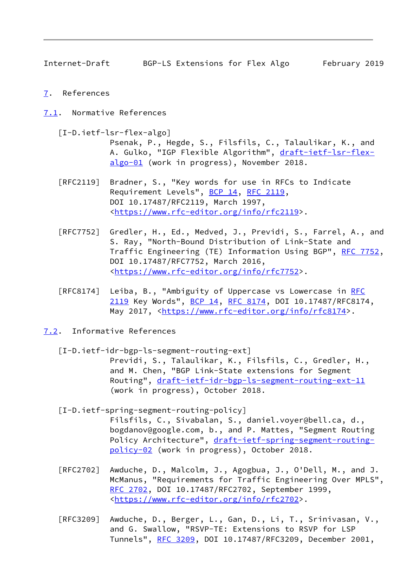<span id="page-9-1"></span>Internet-Draft BGP-LS Extensions for Flex Algo February 2019

- <span id="page-9-0"></span>[7](#page-9-0). References
- <span id="page-9-2"></span>[7.1](#page-9-2). Normative References

<span id="page-9-5"></span>[I-D.ietf-lsr-flex-algo]

 Psenak, P., Hegde, S., Filsfils, C., Talaulikar, K., and A. Gulko, "IGP Flexible Algorithm", [draft-ietf-lsr-flex](https://datatracker.ietf.org/doc/pdf/draft-ietf-lsr-flex-algo-01) [algo-01](https://datatracker.ietf.org/doc/pdf/draft-ietf-lsr-flex-algo-01) (work in progress), November 2018.

- [RFC2119] Bradner, S., "Key words for use in RFCs to Indicate Requirement Levels", [BCP 14](https://datatracker.ietf.org/doc/pdf/bcp14), [RFC 2119](https://datatracker.ietf.org/doc/pdf/rfc2119), DOI 10.17487/RFC2119, March 1997, <[https://www.rfc-editor.org/info/rfc2119>](https://www.rfc-editor.org/info/rfc2119).
- [RFC7752] Gredler, H., Ed., Medved, J., Previdi, S., Farrel, A., and S. Ray, "North-Bound Distribution of Link-State and Traffic Engineering (TE) Information Using BGP", [RFC 7752,](https://datatracker.ietf.org/doc/pdf/rfc7752) DOI 10.17487/RFC7752, March 2016, <[https://www.rfc-editor.org/info/rfc7752>](https://www.rfc-editor.org/info/rfc7752).
- [RFC8174] Leiba, B., "Ambiguity of Uppercase vs Lowercase in [RFC](https://datatracker.ietf.org/doc/pdf/rfc2119) [2119](https://datatracker.ietf.org/doc/pdf/rfc2119) Key Words", [BCP 14](https://datatracker.ietf.org/doc/pdf/bcp14), [RFC 8174,](https://datatracker.ietf.org/doc/pdf/rfc8174) DOI 10.17487/RFC8174, May 2017, [<https://www.rfc-editor.org/info/rfc8174](https://www.rfc-editor.org/info/rfc8174)>.
- <span id="page-9-6"></span><span id="page-9-4"></span><span id="page-9-3"></span>[7.2](#page-9-3). Informative References
	- [I-D.ietf-idr-bgp-ls-segment-routing-ext] Previdi, S., Talaulikar, K., Filsfils, C., Gredler, H., and M. Chen, "BGP Link-State extensions for Segment Routing", [draft-ietf-idr-bgp-ls-segment-routing-ext-11](https://datatracker.ietf.org/doc/pdf/draft-ietf-idr-bgp-ls-segment-routing-ext-11) (work in progress), October 2018.
	- [I-D.ietf-spring-segment-routing-policy] Filsfils, C., Sivabalan, S., daniel.voyer@bell.ca, d., bogdanov@google.com, b., and P. Mattes, "Segment Routing Policy Architecture", [draft-ietf-spring-segment-routing](https://datatracker.ietf.org/doc/pdf/draft-ietf-spring-segment-routing-policy-02) [policy-02](https://datatracker.ietf.org/doc/pdf/draft-ietf-spring-segment-routing-policy-02) (work in progress), October 2018.
	- [RFC2702] Awduche, D., Malcolm, J., Agogbua, J., O'Dell, M., and J. McManus, "Requirements for Traffic Engineering Over MPLS", [RFC 2702,](https://datatracker.ietf.org/doc/pdf/rfc2702) DOI 10.17487/RFC2702, September 1999, <[https://www.rfc-editor.org/info/rfc2702>](https://www.rfc-editor.org/info/rfc2702).
	- [RFC3209] Awduche, D., Berger, L., Gan, D., Li, T., Srinivasan, V., and G. Swallow, "RSVP-TE: Extensions to RSVP for LSP Tunnels", [RFC 3209](https://datatracker.ietf.org/doc/pdf/rfc3209), DOI 10.17487/RFC3209, December 2001,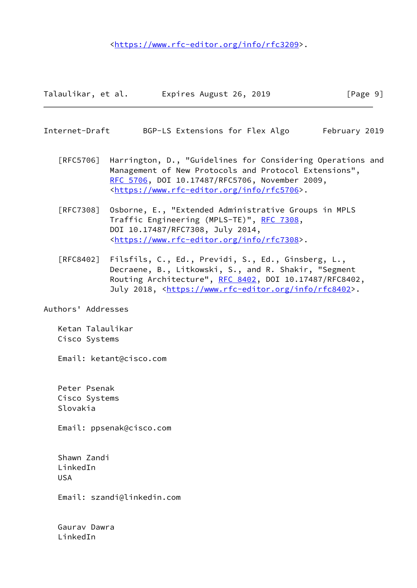<[https://www.rfc-editor.org/info/rfc3209>](https://www.rfc-editor.org/info/rfc3209).

| Talaulikar, et al. | Expires August 26, 2019 | [Page 9] |
|--------------------|-------------------------|----------|
|                    |                         |          |

<span id="page-10-0"></span>Internet-Draft BGP-LS Extensions for Flex Algo February 2019

- [RFC5706] Harrington, D., "Guidelines for Considering Operations and Management of New Protocols and Protocol Extensions", [RFC 5706,](https://datatracker.ietf.org/doc/pdf/rfc5706) DOI 10.17487/RFC5706, November 2009, <[https://www.rfc-editor.org/info/rfc5706>](https://www.rfc-editor.org/info/rfc5706).
- [RFC7308] Osborne, E., "Extended Administrative Groups in MPLS Traffic Engineering (MPLS-TE)", [RFC 7308,](https://datatracker.ietf.org/doc/pdf/rfc7308) DOI 10.17487/RFC7308, July 2014, <[https://www.rfc-editor.org/info/rfc7308>](https://www.rfc-editor.org/info/rfc7308).
- [RFC8402] Filsfils, C., Ed., Previdi, S., Ed., Ginsberg, L., Decraene, B., Litkowski, S., and R. Shakir, "Segment Routing Architecture", [RFC 8402](https://datatracker.ietf.org/doc/pdf/rfc8402), DOI 10.17487/RFC8402, July 2018, <<https://www.rfc-editor.org/info/rfc8402>>.

Authors' Addresses

 Ketan Talaulikar Cisco Systems

Email: ketant@cisco.com

 Peter Psenak Cisco Systems Slovakia

Email: ppsenak@cisco.com

 Shawn Zandi LinkedIn USA

Email: szandi@linkedin.com

 Gaurav Dawra LinkedIn